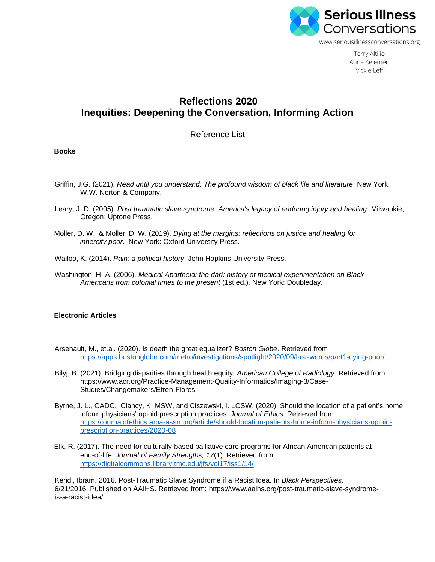

**Terry Altilio** Anne Kelemen Vickie Leff

# **Reflections 2020 Inequities: Deepening the Conversation, Informing Action**

Reference List

## **Books**

- Griffin, J.G. (2021). *Read until you understand: The profound wisdom of black life and literature*. New York: W.W. Norton & Company.
- Leary, J. D. (2005). *Post traumatic slave syndrome: America's legacy of enduring injury and healing*. Milwaukie, Oregon: Uptone Press.
- Moller, D. W., & Moller, D. W. (2019). *Dying at the margins: reflections on justice and healing for innercity poor*. New York: Oxford University Press.
- Wailoo, K. (2014). *Pain: a political history*: John Hopkins University Press.
- Washington, H. A. (2006). *Medical Apartheid: the dark history of medical experimentation on Black Americans from colonial times to the present* (1st ed.). New York: Doubleday.

## **Electronic Articles**

- Arsenault, M., et.al. (2020). Is death the great equalizer? *Boston Globe*. Retrieved from <https://apps.bostonglobe.com/metro/investigations/spotlight/2020/09/last-words/part1-dying-poor/>
- Bilyj, B. (2021). Bridging disparities through health equity. *American College of Radiology*. Retrieved from https://www.acr.org/Practice-Management-Quality-Informatics/Imaging-3/Case-Studies/Changemakers/Efren-Flores
- Byrne, J. L., CADC, Clancy, K. MSW, and Ciszewski, I. LCSW. (2020). Should the location of a patient's home inform physicians' opioid prescription practices. *Journal of Ethics*. Retrieved from [https://journalofethics.ama-assn.org/article/should-location-patients-home-inform-physicians-opioid](https://journalofethics.ama-assn.org/article/should-location-patients-home-inform-physicians-opioid-prescription-practices/2020-08)[prescription-practices/2020-08](https://journalofethics.ama-assn.org/article/should-location-patients-home-inform-physicians-opioid-prescription-practices/2020-08)
- Elk, R. (2017). The need for culturally-based palliative care programs for African American patients at end-of-life. *Journal of Family Strengths, 17*(1). Retrieved from <https://digitalcommons.library.tmc.edu/jfs/vol17/iss1/14/>

Kendi, Ibram. 2016. Post-Traumatic Slave Syndrome if a Racist Idea. In *Black Perspectives*. 6/21/2016. Published on AAIHS. Retrieved from: https://www.aaihs.org/post-traumatic-slave-syndromeis-a-racist-idea/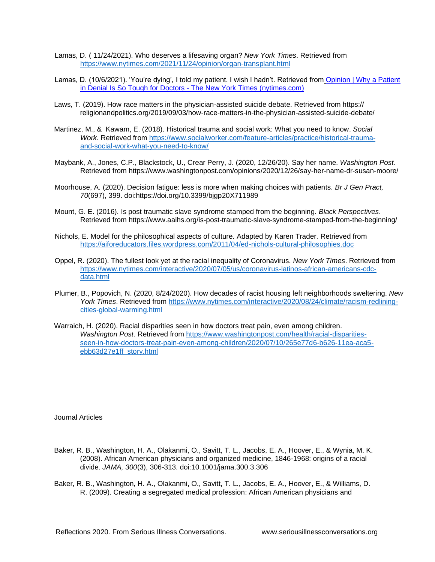- Lamas, D. ( 11/24/2021). Who deserves a lifesaving organ? *New York Times*. Retrieved from <https://www.nytimes.com/2021/11/24/opinion/organ-transplant.html>
- Lamas, D. (10/6/2021). 'You're dying', I told my patient. I wish I hadn't. Retrieved from [Opinion | Why a Patient](https://www.nytimes.com/2021/10/06/opinion/doctor-patient-death-truth.html)  in Denial Is So Tough for Doctors - [The New York Times \(nytimes.com\)](https://www.nytimes.com/2021/10/06/opinion/doctor-patient-death-truth.html)
- Laws, T. (2019). How race matters in the physician-assisted suicide debate. Retrieved from https:// religionandpolitics.org/2019/09/03/how-race-matters-in-the-physician-assisted-suicide-debate/
- Martinez, M., & Kawam, E. (2018). Historical trauma and social work: What you need to know. *Social Work*. Retrieved from [https://www.socialworker.com/feature-articles/practice/historical-trauma](https://www.socialworker.com/feature-articles/practice/historical-trauma-%20%20%20%20%20%20%20%20%20%20%20%20%20%20%20%20%09%09and-social-work-what-you-need-to-know/)[and-social-work-what-you-need-to-know/](https://www.socialworker.com/feature-articles/practice/historical-trauma-%20%20%20%20%20%20%20%20%20%20%20%20%20%20%20%20%09%09and-social-work-what-you-need-to-know/)
- Maybank, A., Jones, C.P., Blackstock, U., Crear Perry, J. (2020, 12/26/20). Say her name. *Washington Post*. Retrieved from https://www.washingtonpost.com/opinions/2020/12/26/say-her-name-dr-susan-moore/
- Moorhouse, A. (2020). Decision fatigue: less is more when making choices with patients. *Br J Gen Pract, 70*(697), 399. doi:https://doi.org/10.3399/bjgp20X711989
- Mount, G. E. (2016). Is post traumatic slave syndrome stamped from the beginning. *Black Perspectives*. Retrieved from https://www.aaihs.org/is-post-traumatic-slave-syndrome-stamped-from-the-beginning/
- Nichols, E. Model for the philosophical aspects of culture. Adapted by Karen Trader. Retrieved from <https://aiforeducators.files.wordpress.com/2011/04/ed-nichols-cultural-philosophies.doc>
- Oppel, R. (2020). The fullest look yet at the racial inequality of Coronavirus. *New York Times*. Retrieved from [https://www.nytimes.com/interactive/2020/07/05/us/coronavirus-latinos-african-americans-cdc](https://www.nytimes.com/interactive/2020/07/05/us/coronavirus-latinos-african-americans-cdc-data.html)[data.html](https://www.nytimes.com/interactive/2020/07/05/us/coronavirus-latinos-african-americans-cdc-data.html)
- Plumer, B., Popovich, N. (2020, 8/24/2020). How decades of racist housing left neighborhoods sweltering. *New York Times*. Retrieved from [https://www.nytimes.com/interactive/2020/08/24/climate/racism-redlining](https://www.nytimes.com/interactive/2020/08/24/climate/racism-redlining-cities-global-warming.html)[cities-global-warming.html](https://www.nytimes.com/interactive/2020/08/24/climate/racism-redlining-cities-global-warming.html)
- Warraich, H. (2020). Racial disparities seen in how doctors treat pain, even among children. *Washington Post*. Retrieved from [https://www.washingtonpost.com/health/racial-disparities](https://www.washingtonpost.com/health/racial-disparities-seen-in-how-doctors-treat-pain-even-among-children/2020/07/10/265e77d6-b626-11ea-aca5-ebb63d27e1ff_story.html)[seen-in-how-doctors-treat-pain-even-among-children/2020/07/10/265e77d6-b626-11ea-aca5](https://www.washingtonpost.com/health/racial-disparities-seen-in-how-doctors-treat-pain-even-among-children/2020/07/10/265e77d6-b626-11ea-aca5-ebb63d27e1ff_story.html) [ebb63d27e1ff\\_story.html](https://www.washingtonpost.com/health/racial-disparities-seen-in-how-doctors-treat-pain-even-among-children/2020/07/10/265e77d6-b626-11ea-aca5-ebb63d27e1ff_story.html)

Journal Articles

- Baker, R. B., Washington, H. A., Olakanmi, O., Savitt, T. L., Jacobs, E. A., Hoover, E., & Wynia, M. K. (2008). African American physicians and organized medicine, 1846-1968: origins of a racial divide. *JAMA, 300*(3), 306-313. doi:10.1001/jama.300.3.306
- Baker, R. B., Washington, H. A., Olakanmi, O., Savitt, T. L., Jacobs, E. A., Hoover, E., & Williams, D. R. (2009). Creating a segregated medical profession: African American physicians and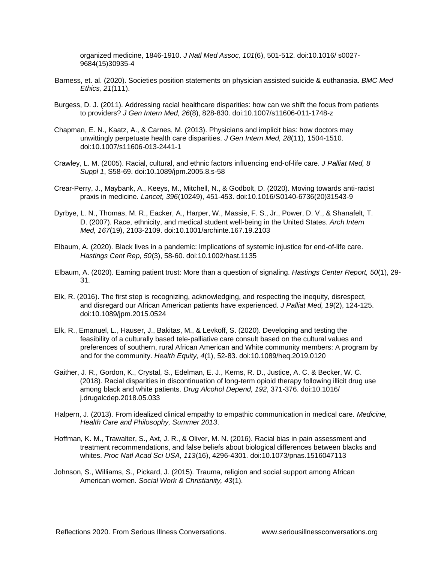organized medicine, 1846-1910. *J Natl Med Assoc, 101*(6), 501-512. doi:10.1016/ s0027- 9684(15)30935-4

- Barness, et. al. (2020). Societies position statements on physician assisted suicide & euthanasia. *BMC Med Ethics, 21*(111).
- Burgess, D. J. (2011). Addressing racial healthcare disparities: how can we shift the focus from patients to providers? *J Gen Intern Med, 26*(8), 828-830. doi:10.1007/s11606-011-1748-z
- Chapman, E. N., Kaatz, A., & Carnes, M. (2013). Physicians and implicit bias: how doctors may unwittingly perpetuate health care disparities. *J Gen Intern Med, 28*(11), 1504-1510. doi:10.1007/s11606-013-2441-1
- Crawley, L. M. (2005). Racial, cultural, and ethnic factors influencing end-of-life care. *J Palliat Med, 8 Suppl 1*, S58-69. doi:10.1089/jpm.2005.8.s-58
- Crear-Perry, J., Maybank, A., Keeys, M., Mitchell, N., & Godbolt, D. (2020). Moving towards anti-racist praxis in medicine. *Lancet, 396*(10249), 451-453. doi:10.1016/S0140-6736(20)31543-9
- Dyrbye, L. N., Thomas, M. R., Eacker, A., Harper, W., Massie, F. S., Jr., Power, D. V., & Shanafelt, T. D. (2007). Race, ethnicity, and medical student well-being in the United States. *Arch Intern Med, 167*(19), 2103-2109. doi:10.1001/archinte.167.19.2103
- Elbaum, A. (2020). Black lives in a pandemic: Implications of systemic injustice for end-of-life care. *Hastings Cent Rep, 50*(3), 58-60. doi:10.1002/hast.1135
- Elbaum, A. (2020). Earning patient trust: More than a question of signaling. *Hastings Center Report, 50*(1), 29- 31.
- Elk, R. (2016). The first step is recognizing, acknowledging, and respecting the inequity, disrespect, and disregard our African American patients have experienced. *J Palliat Med, 19*(2), 124-125. doi:10.1089/jpm.2015.0524
- Elk, R., Emanuel, L., Hauser, J., Bakitas, M., & Levkoff, S. (2020). Developing and testing the feasibility of a culturally based tele-palliative care consult based on the cultural values and preferences of southern, rural African American and White community members: A program by and for the community. *Health Equity, 4*(1), 52-83. doi:10.1089/heq.2019.0120
- Gaither, J. R., Gordon, K., Crystal, S., Edelman, E. J., Kerns, R. D., Justice, A. C. & Becker, W. C. (2018). Racial disparities in discontinuation of long-term opioid therapy following illicit drug use among black and white patients. *Drug Alcohol Depend, 192*, 371-376. doi:10.1016/ j.drugalcdep.2018.05.033
- Halpern, J. (2013). From idealized clinical empathy to empathic communication in medical care. *Medicine, Health Care and Philosophy, Summer 2013*.
- Hoffman, K. M., Trawalter, S., Axt, J. R., & Oliver, M. N. (2016). Racial bias in pain assessment and treatment recommendations, and false beliefs about biological differences between blacks and whites. *Proc Natl Acad Sci USA, 113*(16), 4296-4301. doi:10.1073/pnas.1516047113
- Johnson, S., Williams, S., Pickard, J. (2015). Trauma, religion and social support among African American women. *Social Work & Christianity, 43*(1).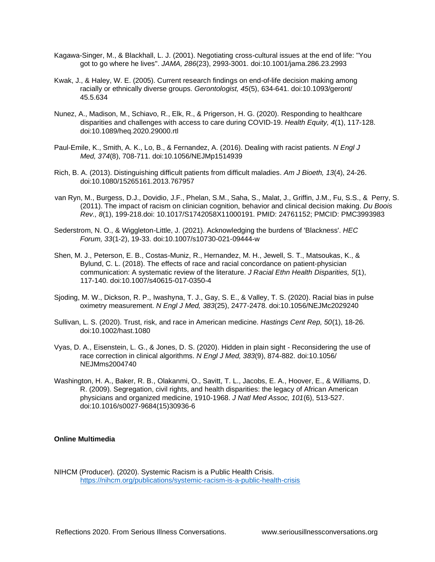- Kagawa-Singer, M., & Blackhall, L. J. (2001). Negotiating cross-cultural issues at the end of life: "You got to go where he lives". *JAMA, 286*(23), 2993-3001. doi:10.1001/jama.286.23.2993
- Kwak, J., & Haley, W. E. (2005). Current research findings on end-of-life decision making among racially or ethnically diverse groups. *Gerontologist, 45*(5), 634-641. doi:10.1093/geront/ 45.5.634
- Nunez, A., Madison, M., Schiavo, R., Elk, R., & Prigerson, H. G. (2020). Responding to healthcare disparities and challenges with access to care during COVID-19. *Health Equity, 4*(1), 117-128. doi:10.1089/heq.2020.29000.rtl
- Paul-Emile, K., Smith, A. K., Lo, B., & Fernandez, A. (2016). Dealing with racist patients. *N Engl J Med, 374*(8), 708-711. doi:10.1056/NEJMp1514939
- Rich, B. A. (2013). Distinguishing difficult patients from difficult maladies. *Am J Bioeth, 13*(4), 24-26. doi:10.1080/15265161.2013.767957
- van Ryn, M., Burgess, D.J., Dovidio, J.F., Phelan, S.M., Saha, S., Malat, J., Griffin, J.M., Fu, S.S., & Perry, S. (2011). The impact of racism on clinician cognition, behavior and clinical decision making. *Du Boois Rev., 8*(1), 199-218.doi: 10.1017/S1742058X11000191. PMID: 24761152; PMCID: PMC3993983
- Sederstrom, N. O., & Wiggleton-Little, J. (2021). Acknowledging the burdens of 'Blackness'. *HEC Forum, 33*(1-2), 19-33. doi:10.1007/s10730-021-09444-w
- Shen, M. J., Peterson, E. B., Costas-Muniz, R., Hernandez, M. H., Jewell, S. T., Matsoukas, K., & Bylund, C. L. (2018). The effects of race and racial concordance on patient-physician communication: A systematic review of the literature. *J Racial Ethn Health Disparities, 5*(1), 117-140. doi:10.1007/s40615-017-0350-4
- Sjoding, M. W., Dickson, R. P., Iwashyna, T. J., Gay, S. E., & Valley, T. S. (2020). Racial bias in pulse oximetry measurement. *N Engl J Med, 383*(25), 2477-2478. doi:10.1056/NEJMc2029240
- Sullivan, L. S. (2020). Trust, risk, and race in American medicine. *Hastings Cent Rep, 50*(1), 18-26. doi:10.1002/hast.1080
- Vyas, D. A., Eisenstein, L. G., & Jones, D. S. (2020). Hidden in plain sight Reconsidering the use of race correction in clinical algorithms. *N Engl J Med, 383*(9), 874-882. doi:10.1056/ NEJMms2004740
- Washington, H. A., Baker, R. B., Olakanmi, O., Savitt, T. L., Jacobs, E. A., Hoover, E., & Williams, D. R. (2009). Segregation, civil rights, and health disparities: the legacy of African American physicians and organized medicine, 1910-1968. *J Natl Med Assoc, 101*(6), 513-527. doi:10.1016/s0027-9684(15)30936-6

#### **Online Multimedia**

NIHCM (Producer). (2020). Systemic Racism is a Public Health Crisis. <https://nihcm.org/publications/systemic-racism-is-a-public-health-crisis>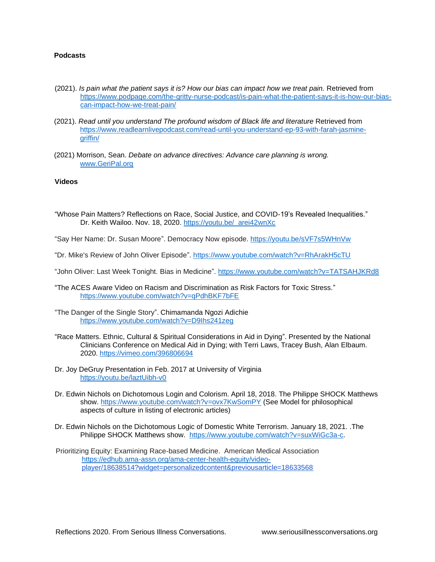## **Podcasts**

- (2021). *Is pain what the patient says it is? How our bias can impact how we treat pain.* Retrieved from [https://www.podpage.com/the-gritty-nurse-podcast/is-pain-what-the-patient-says-it-is-how-our-bias](https://www.podpage.com/the-gritty-nurse-podcast/is-pain-what-the-patient-says-it-is-how-our-bias-can-impact-how-we-treat-pain/)[can-impact-how-we-treat-pain/](https://www.podpage.com/the-gritty-nurse-podcast/is-pain-what-the-patient-says-it-is-how-our-bias-can-impact-how-we-treat-pain/)
- (2021). *Read until you understand The profound wisdom of Black life and literature* Retrieved from [https://www.readlearnlivepodcast.com/read-until-you-understand-ep-93-with-farah-jasmine](https://www.readlearnlivepodcast.com/read-until-you-understand-ep-93-with-farah-jasmine-griffin/)[griffin/](https://www.readlearnlivepodcast.com/read-until-you-understand-ep-93-with-farah-jasmine-griffin/)
- (2021) Morrison, Sean. *Debate on advance directives: Advance care planning is wrong.* [www.GeriPal.org](http://www.geripal.org/)

#### **Videos**

- "Whose Pain Matters? Reflections on Race, Social Justice, and COVID-19's Revealed Inequalities." Dr. Keith Wailoo. Nov. 18, 2020. [https://youtu.be/\\_arei42wnXc](https://youtu.be/_arei42wnXc)
- "Say Her Name: Dr. Susan Moore". Democracy Now episode. <https://youtu.be/sVF7s5WHnVw>
- "Dr. Mike's Review of John Oliver Episode".<https://www.youtube.com/watch?v=RhArakH5cTU>
- "John Oliver: Last Week Tonight. Bias in Medicine".<https://www.youtube.com/watch?v=TATSAHJKRd8>
- "The ACES Aware Video on Racism and Discrimination as Risk Factors for Toxic Stress." <https://www.youtube.com/watch?v=qPdhBKF7bFE>
- "The Danger of the Single Story". Chimamanda Ngozi Adichie <https://www.youtube.com/watch?v=D9Ihs241zeg>
- "Race Matters. Ethnic, Cultural & Spiritual Considerations in Aid in Dying". Presented by the National Clinicians Conference on Medical Aid in Dying; with Terri Laws, Tracey Bush, Alan Elbaum. 2020.<https://vimeo.com/396806694>
- Dr. Joy DeGruy Presentation in Feb. 2017 at University of Virginia <https://youtu.be/laztUibh-v0>
- Dr. Edwin Nichols on Dichotomous Login and Colorism. April 18, 2018. The Philippe SHOCK Matthews show.<https://www.youtube.com/watch?v=ovx7KwSomPY> (See Model for philosophical aspects of culture in listing of electronic articles)
- Dr. Edwin Nichols on the Dichotomous Logic of Domestic White Terrorism. January 18, 2021. .The Philippe SHOCK Matthews show. [https://www.youtube.com/watch?v=suxWiGc3a-c.](https://www.youtube.com/watch?v=suxWiGc3a-c)
- Prioritizing Equity: Examining Race-based Medicine. American Medical Association [https://edhub.ama-assn.org/ama-center-health-equity/video](https://edhub.ama-assn.org/ama-center-health-equity/video-)player/18638514?widget=personalizedcontent&previousarticle=18633568